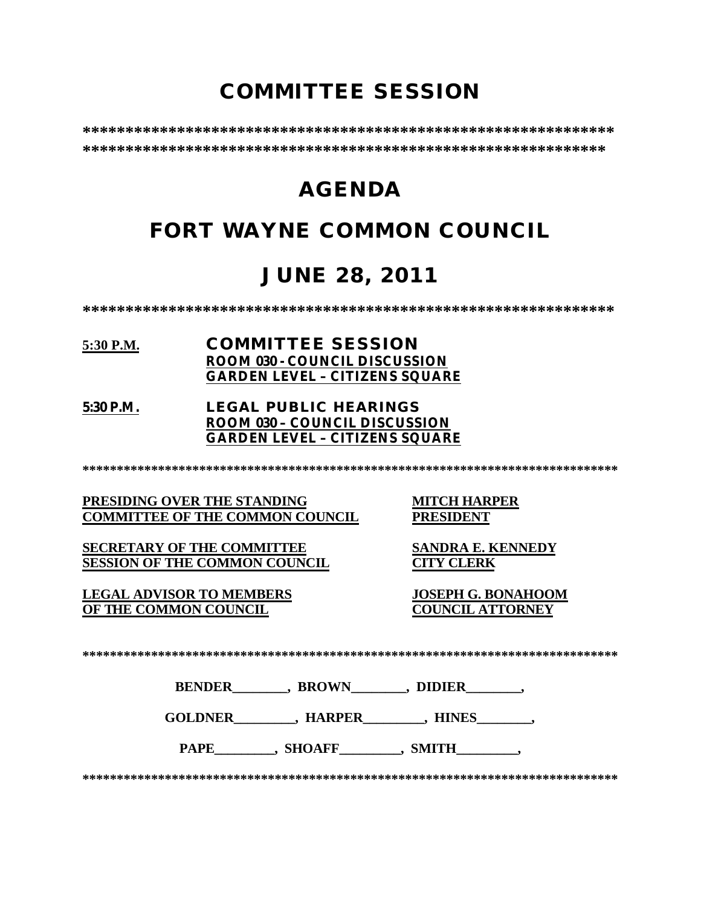# **COMMITTEE SESSION**

**\*\*\*\*\*\*\*\*\*\*\*\*\*\*\*\*\*\*\*\*\*\*\*\*\*\*\*\*\*\*\*\*\*\*\*\*\*\*\*\*\*\*\*\*\*\*\*\*\*\*\*\*\*\*\*\*\*\*\*\*\*\* \*\*\*\*\*\*\*\*\*\*\*\*\*\*\*\*\*\*\*\*\*\*\*\*\*\*\*\*\*\*\*\*\*\*\*\*\*\*\*\*\*\*\*\*\*\*\*\*\*\*\*\*\*\*\*\*\*\*\*\*\***

# **AGENDA**

# **FORT WAYNE COMMON COUNCIL**

# **JUNE 28, 2011**

**\*\*\*\*\*\*\*\*\*\*\*\*\*\*\*\*\*\*\*\*\*\*\*\*\*\*\*\*\*\*\*\*\*\*\*\*\*\*\*\*\*\*\*\*\*\*\*\*\*\*\*\*\*\*\*\*\*\*\*\*\*\***

### **5:30 P.M. COMMITTEE SESSION ROOM 030 - COUNCIL DISCUSSION GARDEN LEVEL – CITIZENS SQUARE**

**5:30 P.M. LEGAL PUBLIC HEARINGS ROOM 030 – COUNCIL DISCUSSION GARDEN LEVEL – CITIZENS SQUARE**

**\*\*\*\*\*\*\*\*\*\*\*\*\*\*\*\*\*\*\*\*\*\*\*\*\*\*\*\*\*\*\*\*\*\*\*\*\*\*\*\*\*\*\*\*\*\*\*\*\*\*\*\*\*\*\*\*\*\*\*\*\*\*\*\*\*\*\*\*\*\*\*\*\*\*\*\*\*\***

**PRESIDING OVER THE STANDING MITCH HARPER COMMITTEE OF THE COMMON COUNCIL** 

**SECRETARY OF THE COMMITTEE SANDRA E. KENNEDY SESSION OF THE COMMON COUNCIL CITY CLERK**

**LEGAL ADVISOR TO MEMBERS JOSEPH G. BONAHOOM OF THE COMMON COUNCIL COUNCIL ATTORNEY**

**\*\*\*\*\*\*\*\*\*\*\*\*\*\*\*\*\*\*\*\*\*\*\*\*\*\*\*\*\*\*\*\*\*\*\*\*\*\*\*\*\*\*\*\*\*\*\*\*\*\*\*\*\*\*\*\*\*\*\*\*\*\*\*\*\*\*\*\*\*\*\*\*\*\*\*\*\*\***

**BENDER** , BROWN , DIDIER

**GOLDNER\_\_\_\_\_\_\_\_\_, HARPER\_\_\_\_\_\_\_\_\_, HINES\_\_\_\_\_\_\_\_,** 

PAPE , SHOAFF , SMITH

**\*\*\*\*\*\*\*\*\*\*\*\*\*\*\*\*\*\*\*\*\*\*\*\*\*\*\*\*\*\*\*\*\*\*\*\*\*\*\*\*\*\*\*\*\*\*\*\*\*\*\*\*\*\*\*\*\*\*\*\*\*\*\*\*\*\*\*\*\*\*\*\*\*\*\*\*\*\***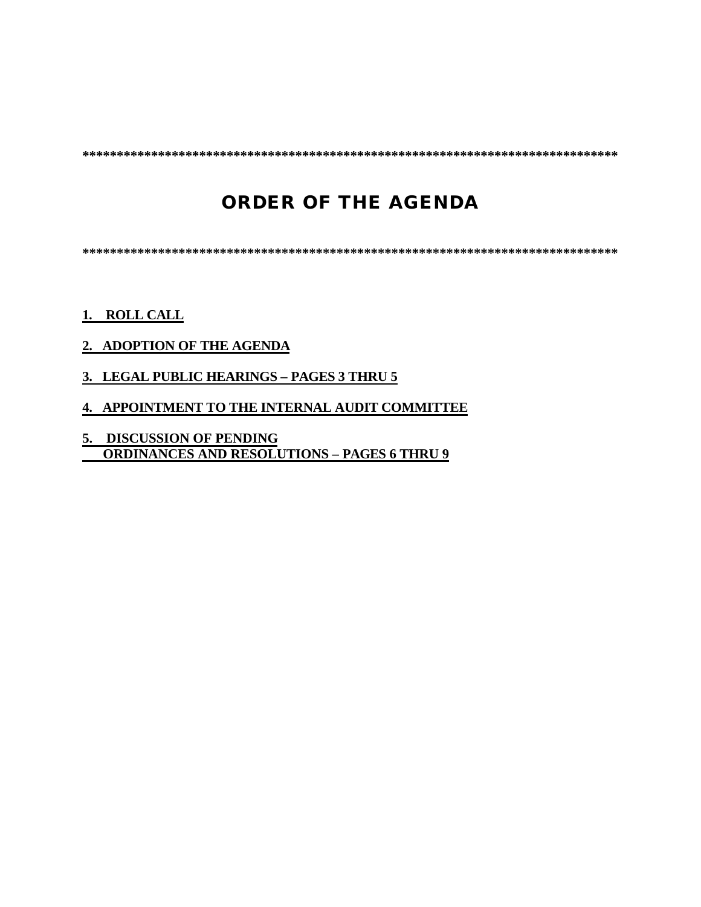**\*\*\*\*\*\*\*\*\*\*\*\*\*\*\*\*\*\*\*\*\*\*\*\*\*\*\*\*\*\*\*\*\*\*\*\*\*\*\*\*\*\*\*\*\*\*\*\*\*\*\*\*\*\*\*\*\*\*\*\*\*\*\*\*\*\*\*\*\*\*\*\*\*\*\*\*\*\***

# **ORDER OF THE AGENDA**

**\*\*\*\*\*\*\*\*\*\*\*\*\*\*\*\*\*\*\*\*\*\*\*\*\*\*\*\*\*\*\*\*\*\*\*\*\*\*\*\*\*\*\*\*\*\*\*\*\*\*\*\*\*\*\*\*\*\*\*\*\*\*\*\*\*\*\*\*\*\*\*\*\*\*\*\*\*\***

### **1. ROLL CALL**

- **2. ADOPTION OF THE AGENDA**
- **3. LEGAL PUBLIC HEARINGS PAGES 3 THRU 5**
- **4. APPOINTMENT TO THE INTERNAL AUDIT COMMITTEE**
- **5. DISCUSSION OF PENDING ORDINANCES AND RESOLUTIONS – PAGES 6 THRU 9**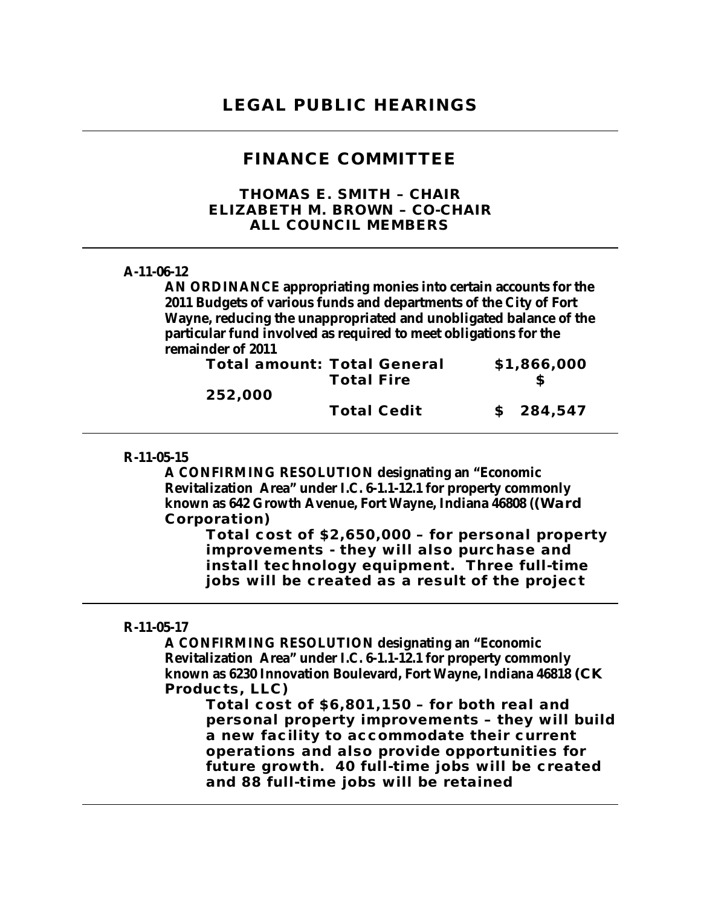### **FINANCE COMMITTEE**

*THOMAS E. SMITH – CHAIR ELIZABETH M. BROWN – CO-CHAIR ALL COUNCIL MEMBERS*

#### **A-11-06-12**

**AN ORDINANCE appropriating monies into certain accounts for the 2011 Budgets of various funds and departments of the City of Fort Wayne, reducing the unappropriated and unobligated balance of the particular fund involved as required to meet obligations for the remainder of 2011**

| <b>Total amount: Total General</b> |                    | \$1,866,000 |
|------------------------------------|--------------------|-------------|
|                                    | <b>Total Fire</b>  |             |
| 252,000                            |                    |             |
|                                    | <b>Total Cedit</b> | \$284,547   |

#### **R-11-05-15**

**A CONFIRMING RESOLUTION designating an "Economic Revitalization Area" under I.C. 6-1.1-12.1 for property commonly known as 642 Growth Avenue, Fort Wayne, Indiana 46808 ((Ward Corporation)**

**Total cost of \$2,650,000 – for personal property improvements - they will also purchase and install technology equipment. Three full-time jobs will be created as a result of the project**

#### **R-11-05-17**

**A CONFIRMING RESOLUTION designating an "Economic Revitalization Area" under I.C. 6-1.1-12.1 for property commonly known as 6230 Innovation Boulevard, Fort Wayne, Indiana 46818 (CK Products, LLC)**

**Total cost of \$6,801,150 – for both real and personal property improvements – they will build a new facility to accommodate their current operations and also provide opportunities for future growth. 40 full-time jobs will be created and 88 full-time jobs will be retained**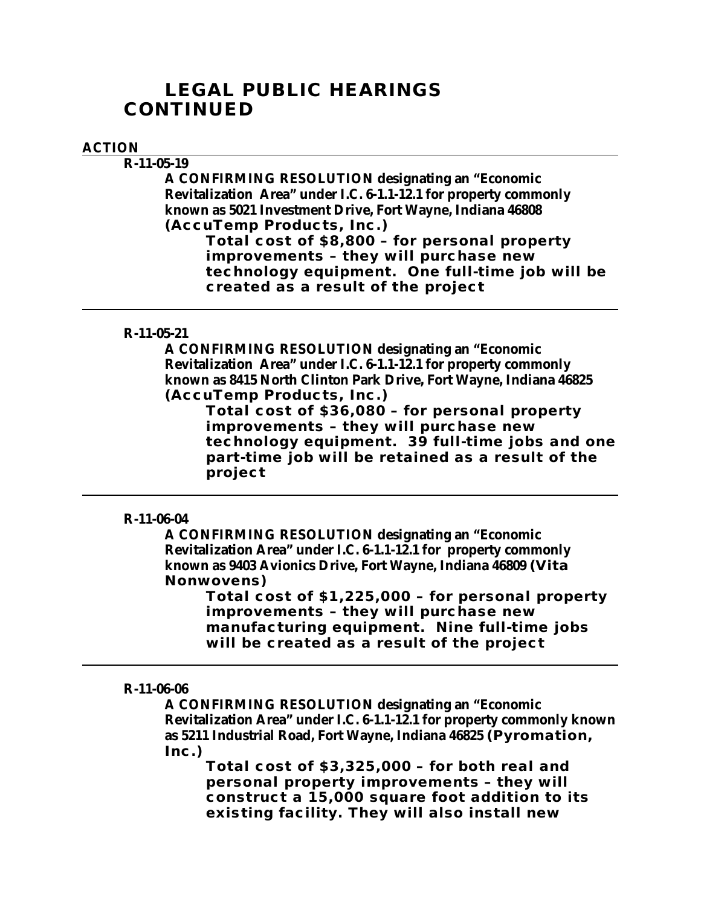# **LEGAL PUBLIC HEARINGS CONTINUED**

### **ACTION**

**R-11-05-19 A CONFIRMING RESOLUTION designating an "Economic Revitalization Area" under I.C. 6-1.1-12.1 for property commonly known as 5021 Investment Drive, Fort Wayne, Indiana 46808 (AccuTemp Products, Inc.)**

**Total cost of \$8,800 – for personal property improvements – they will purchase new technology equipment. One full-time job will be created as a result of the project**

### **R-11-05-21**

**A CONFIRMING RESOLUTION designating an "Economic Revitalization Area" under I.C. 6-1.1-12.1 for property commonly known as 8415 North Clinton Park Drive, Fort Wayne, Indiana 46825 (AccuTemp Products, Inc.)**

**Total cost of \$36,080 – for personal property improvements – they will purchase new technology equipment. 39 full-time jobs and one part-time job will be retained as a result of the project**

### **R-11-06-04**

**A CONFIRMING RESOLUTION designating an "Economic Revitalization Area" under I.C. 6-1.1-12.1 for property commonly known as 9403 Avionics Drive, Fort Wayne, Indiana 46809 (Vita Nonwovens)**

**Total cost of \$1,225,000 – for personal property improvements – they will purchase new manufacturing equipment. Nine full-time jobs will be created as a result of the project**

#### **R-11-06-06**

**A CONFIRMING RESOLUTION designating an "Economic Revitalization Area" under I.C. 6-1.1-12.1 for property commonly known as 5211 Industrial Road, Fort Wayne, Indiana 46825 (Pyromation, Inc.)**

**Total cost of \$3,325,000 – for both real and personal property improvements – they will construct a 15,000 square foot addition to its existing facility. They will also install new**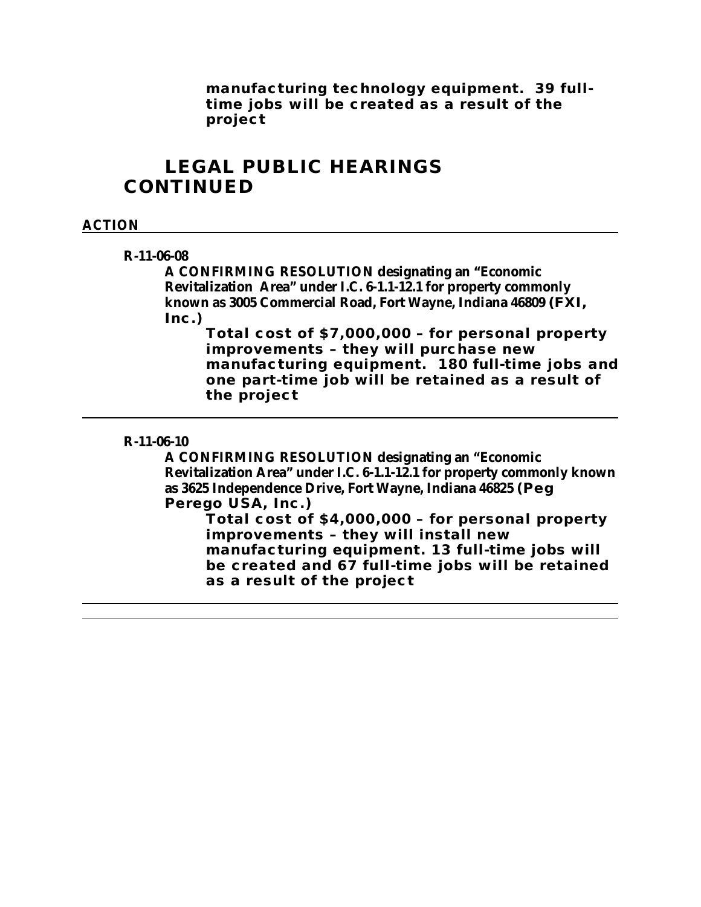**manufacturing technology equipment. 39 fulltime jobs will be created as a result of the project** 

# **LEGAL PUBLIC HEARINGS CONTINUED**

### **ACTION**

#### **R-11-06-08**

**A CONFIRMING RESOLUTION designating an "Economic Revitalization Area" under I.C. 6-1.1-12.1 for property commonly known as 3005 Commercial Road, Fort Wayne, Indiana 46809 (FXI, Inc.)**

**Total cost of \$7,000,000 – for personal property improvements – they will purchase new manufacturing equipment. 180 full-time jobs and one part-time job will be retained as a result of the project**

#### **R-11-06-10**

**A CONFIRMING RESOLUTION designating an "Economic Revitalization Area" under I.C. 6-1.1-12.1 for property commonly known as 3625 Independence Drive, Fort Wayne, Indiana 46825 (Peg Perego USA, Inc.)**

**Total cost of \$4,000,000 – for personal property improvements – they will install new manufacturing equipment. 13 full-time jobs will be created and 67 full-time jobs will be retained as a result of the project**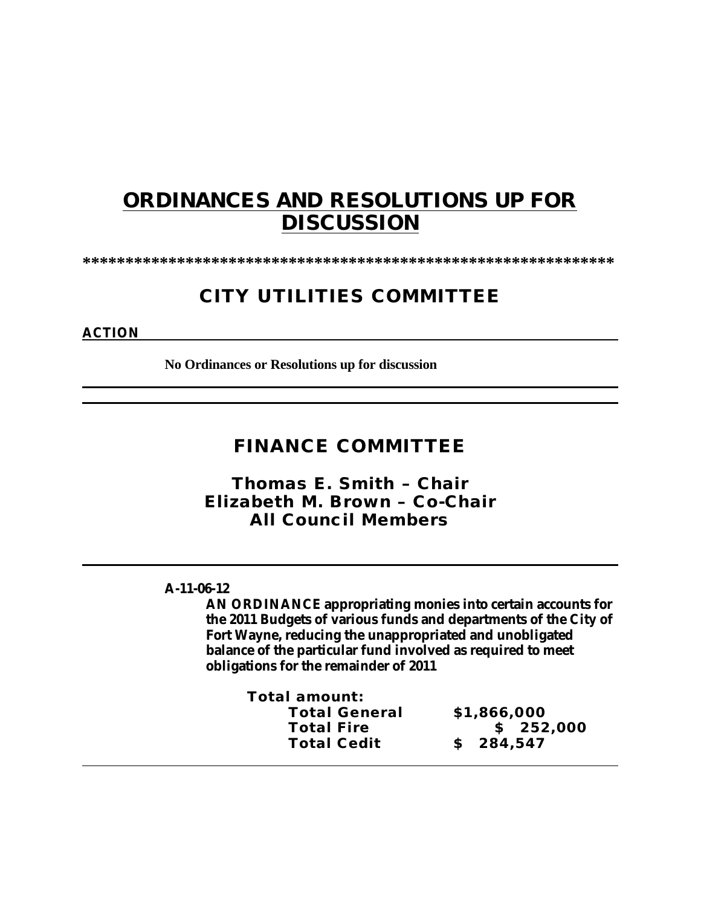# **ORDINANCES AND RESOLUTIONS UP FOR DISCUSSION**

**\*\*\*\*\*\*\*\*\*\*\*\*\*\*\*\*\*\*\*\*\*\*\*\*\*\*\*\*\*\*\*\*\*\*\*\*\*\*\*\*\*\*\*\*\*\*\*\*\*\*\*\*\*\*\*\*\*\*\*\*\*\***

# **CITY UTILITIES COMMITTEE**

### **ACTION**

**No Ordinances or Resolutions up for discussion**

## **FINANCE COMMITTEE**

*Thomas E. Smith – Chair Elizabeth M. Brown – Co-Chair All Council Members*

### **A-11-06-12**

**AN ORDINANCE appropriating monies into certain accounts for the 2011 Budgets of various funds and departments of the City of Fort Wayne, reducing the unappropriated and unobligated balance of the particular fund involved as required to meet obligations for the remainder of 2011** 

| \$1,866,000 |
|-------------|
| \$252,000   |
| \$284,547   |
|             |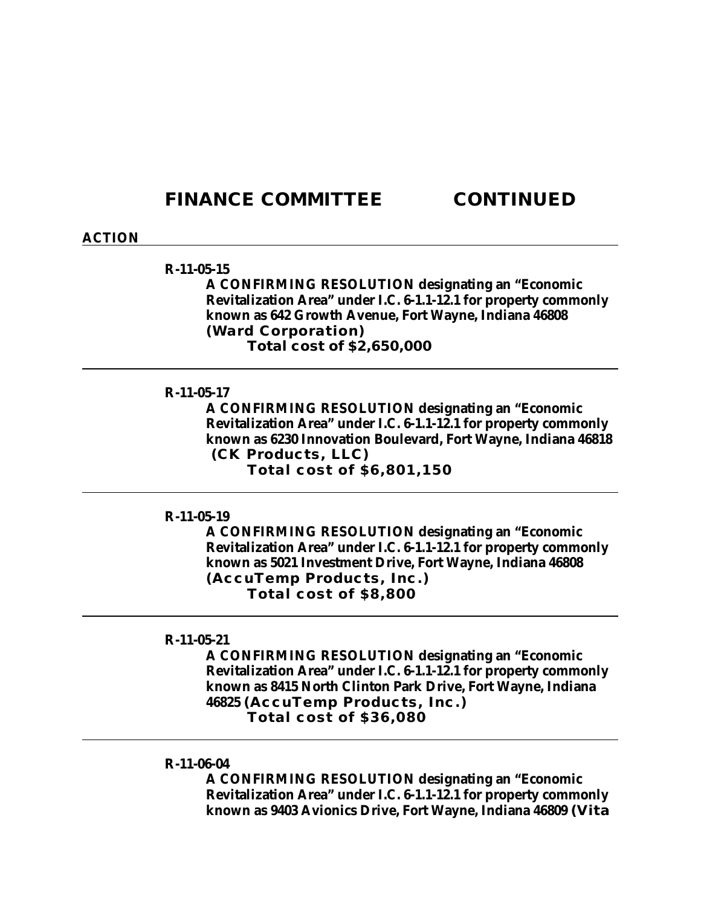## **FINANCE COMMITTEE CONTINUED**

#### **ACTION**

#### **R-11-05-15**

**A CONFIRMING RESOLUTION designating an "Economic Revitalization Area" under I.C. 6-1.1-12.1 for property commonly known as 642 Growth Avenue, Fort Wayne, Indiana 46808 (Ward Corporation) Total cost of \$2,650,000**

#### **R-11-05-17**

**A CONFIRMING RESOLUTION designating an "Economic Revitalization Area" under I.C. 6-1.1-12.1 for property commonly known as 6230 Innovation Boulevard, Fort Wayne, Indiana 46818 (CK Products, LLC) Total cost of \$6,801,150**

### **R-11-05-19**

**A CONFIRMING RESOLUTION designating an "Economic Revitalization Area" under I.C. 6-1.1-12.1 for property commonly known as 5021 Investment Drive, Fort Wayne, Indiana 46808 (AccuTemp Products, Inc.) Total cost of \$8,800**

#### **R-11-05-21**

**A CONFIRMING RESOLUTION designating an "Economic Revitalization Area" under I.C. 6-1.1-12.1 for property commonly known as 8415 North Clinton Park Drive, Fort Wayne, Indiana 46825 (AccuTemp Products, Inc.) Total cost of \$36,080**

#### **R-11-06-04**

**A CONFIRMING RESOLUTION designating an "Economic Revitalization Area" under I.C. 6-1.1-12.1 for property commonly known as 9403 Avionics Drive, Fort Wayne, Indiana 46809 (Vita**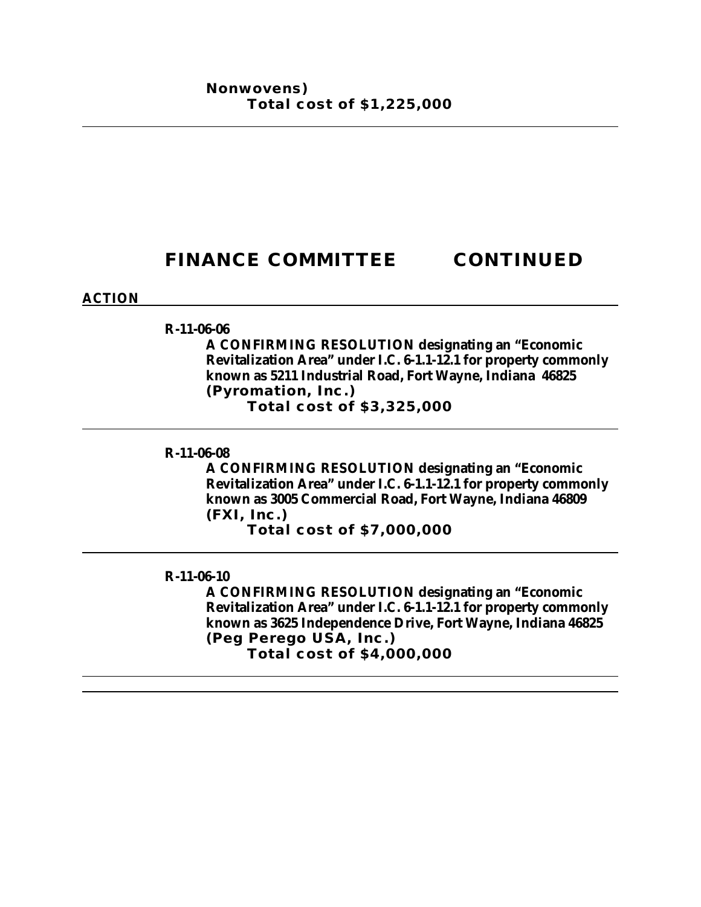# **FINANCE COMMITTEE CONTINUED**

### **ACTION**

**R-11-06-06**

**A CONFIRMING RESOLUTION designating an "Economic Revitalization Area" under I.C. 6-1.1-12.1 for property commonly known as 5211 Industrial Road, Fort Wayne, Indiana 46825 (Pyromation, Inc.)** 

**Total cost of \$3,325,000**

### **R-11-06-08**

**A CONFIRMING RESOLUTION designating an "Economic Revitalization Area" under I.C. 6-1.1-12.1 for property commonly known as 3005 Commercial Road, Fort Wayne, Indiana 46809 (FXI, Inc.)**

**Total cost of \$7,000,000**

#### **R-11-06-10**

**A CONFIRMING RESOLUTION designating an "Economic Revitalization Area" under I.C. 6-1.1-12.1 for property commonly known as 3625 Independence Drive, Fort Wayne, Indiana 46825 (Peg Perego USA, Inc.) Total cost of \$4,000,000**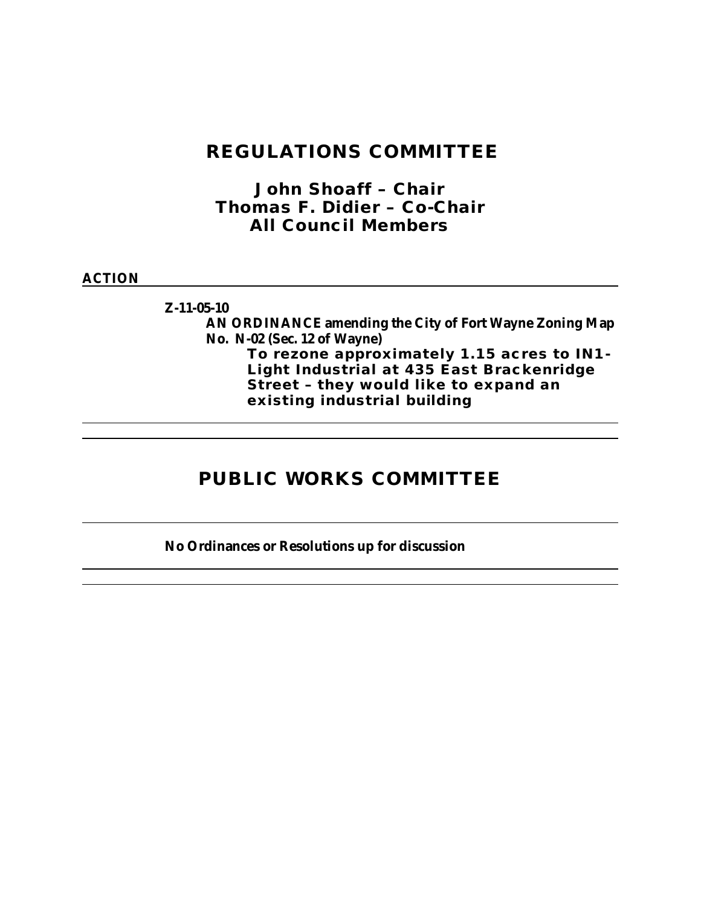# **REGULATIONS COMMITTEE**

*John Shoaff – Chair Thomas F. Didier – Co-Chair All Council Members*

### **ACTION**

**Z-11-05-10 AN ORDINANCE amending the City of Fort Wayne Zoning Map No. N-02 (Sec. 12 of Wayne) To rezone approximately 1.15 acres to IN1- Light Industrial at 435 East Brackenridge Street – they would like to expand an existing industrial building** 

# **PUBLIC WORKS COMMITTEE**

**No Ordinances or Resolutions up for discussion**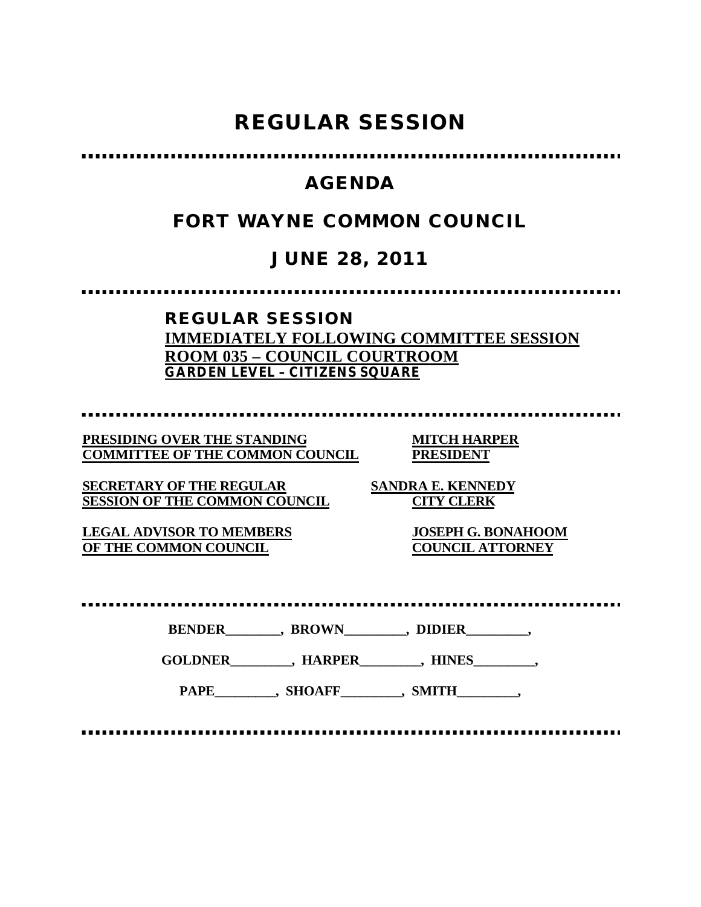# **REGULAR SESSION**

# **AGENDA**

# **FORT WAYNE COMMON COUNCIL**

# **JUNE 28, 2011**

### **REGULAR SESSION IMMEDIATELY FOLLOWING COMMITTEE SESSION ROOM 035 – COUNCIL COURTROOM GARDEN LEVEL – CITIZENS SQUARE**

**PRESIDING OVER THE STANDING MITCH HARPER**

**COMMITTEE OF THE COMMON COUNCIL PRESIDENT**

**SECRETARY OF THE REGULAR SANDRA E. KENNEDY SESSION OF THE COMMON COUNCIL CITY CLERK**

**LEGAL ADVISOR TO MEMBERS JOSEPH G. BONAHOOM OF THE COMMON COUNCIL** 

**BENDER\_\_\_\_\_\_\_\_, BROWN\_\_\_\_\_\_\_\_\_, DIDIER\_\_\_\_\_\_\_\_\_,**

**GOLDNER\_\_\_\_\_\_\_\_\_, HARPER\_\_\_\_\_\_\_\_\_, HINES\_\_\_\_\_\_\_\_\_,**

PAPE\_\_\_\_\_\_\_\_, SHOAFF\_\_\_\_\_\_\_\_, SMITH\_\_\_\_\_\_\_\_,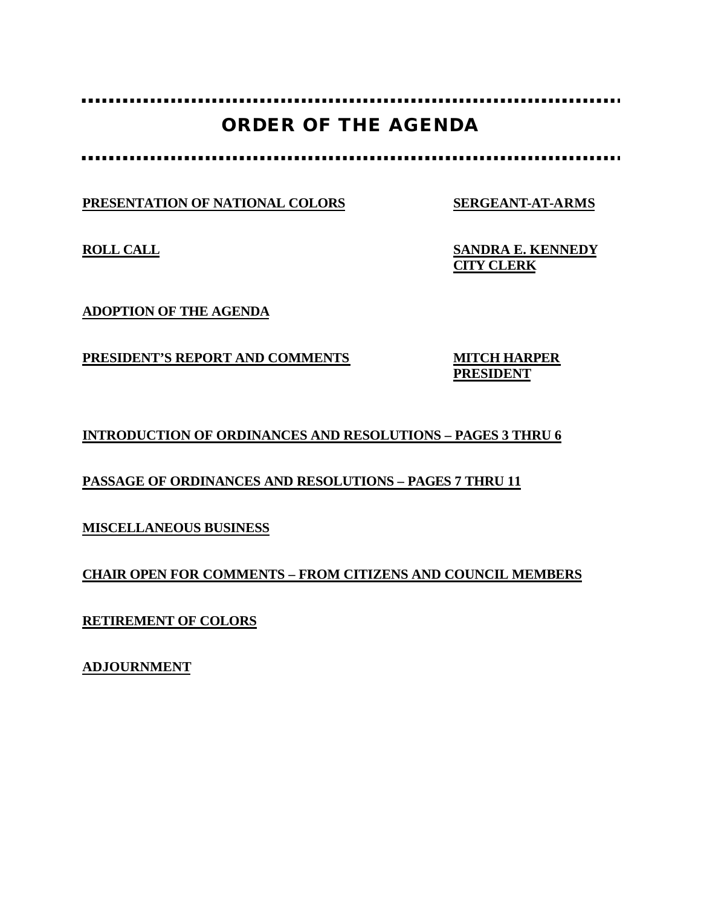# **ORDER OF THE AGENDA**

**PRESENTATION OF NATIONAL COLORS SERGEANT-AT-ARMS**

. . . . . . . . . . . . . . . . . . .

**ROLL CALL SANDRA E. KENNEDY CITY CLERK**

**ADOPTION OF THE AGENDA**

**PRESIDENT'S REPORT AND COMMENTS MITCH HARPER**

**PRESIDENT**

**INTRODUCTION OF ORDINANCES AND RESOLUTIONS – PAGES 3 THRU 6**

**PASSAGE OF ORDINANCES AND RESOLUTIONS – PAGES 7 THRU 11**

**MISCELLANEOUS BUSINESS**

**CHAIR OPEN FOR COMMENTS – FROM CITIZENS AND COUNCIL MEMBERS**

**RETIREMENT OF COLORS**

**ADJOURNMENT**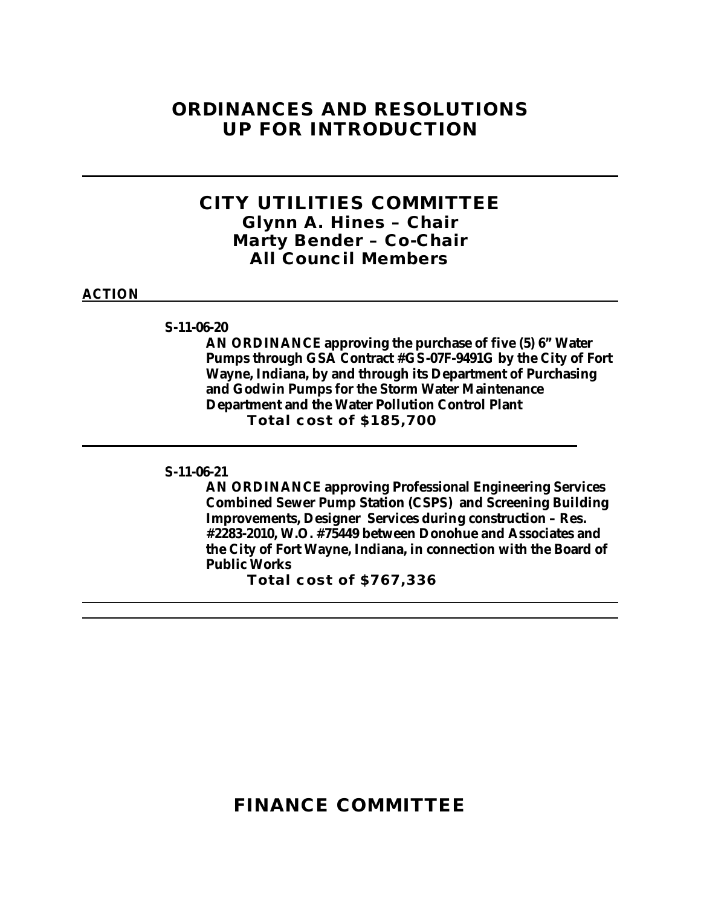# **ORDINANCES AND RESOLUTIONS UP FOR INTRODUCTION**

## **CITY UTILITIES COMMITTEE** *Glynn A. Hines – Chair Marty Bender – Co-Chair All Council Members*

#### **ACTION**

**S-11-06-20**

**AN ORDINANCE approving the purchase of five (5) 6" Water Pumps through GSA Contract #GS-07F-9491G by the City of Fort Wayne, Indiana, by and through its Department of Purchasing and Godwin Pumps for the Storm Water Maintenance Department and the Water Pollution Control Plant Total cost of \$185,700**

### **S-11-06-21**

**AN ORDINANCE approving Professional Engineering Services Combined Sewer Pump Station (CSPS) and Screening Building Improvements, Designer Services during construction – Res. #2283-2010, W.O. #75449 between Donohue and Associates and the City of Fort Wayne, Indiana, in connection with the Board of Public Works**

**Total cost of \$767,336**

**FINANCE COMMITTEE**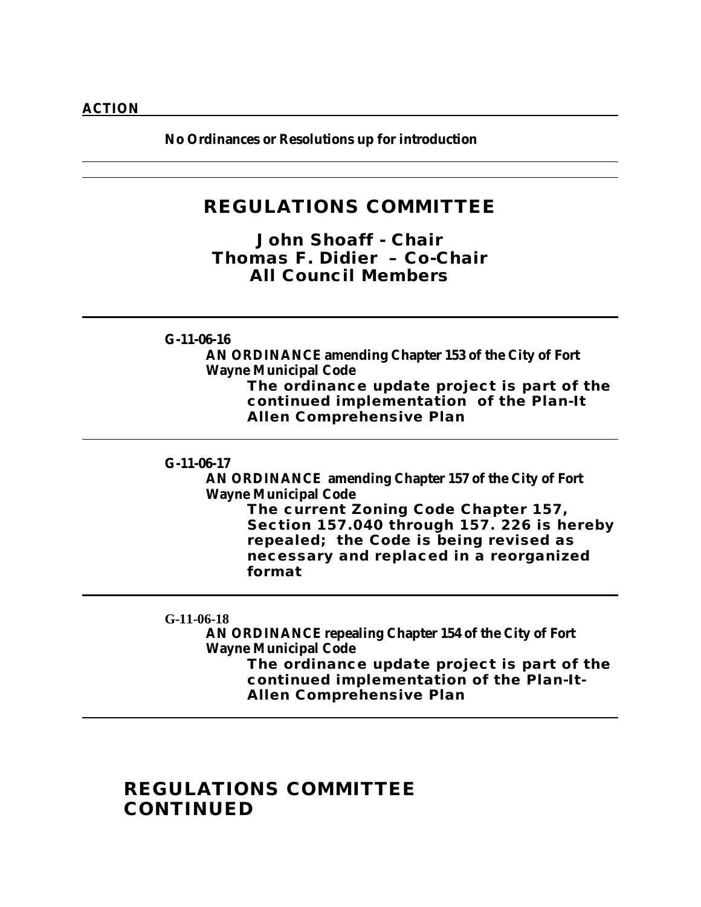**No Ordinances or Resolutions up for introduction**

## **REGULATIONS COMMITTEE**

*John Shoaff - Chair Thomas F. Didier – Co-Chair All Council Members*

### **G-11-06-16**

**AN ORDINANCE amending Chapter 153 of the City of Fort Wayne Municipal Code**

**The ordinance update project is part of the continued implementation of the Plan-It Allen Comprehensive Plan**

#### **G-11-06-17**

**AN ORDINANCE amending Chapter 157 of the City of Fort Wayne Municipal Code**

> **The current Zoning Code Chapter 157, Section 157.040 through 157. 226 is hereby repealed; the Code is being revised as necessary and replaced in a reorganized format**

### **G-11-06-18**

**AN ORDINANCE repealing Chapter 154 of the City of Fort Wayne Municipal Code** 

**The ordinance update project is part of the continued implementation of the Plan-It-Allen Comprehensive Plan**

# **REGULATIONS COMMITTEE CONTINUED**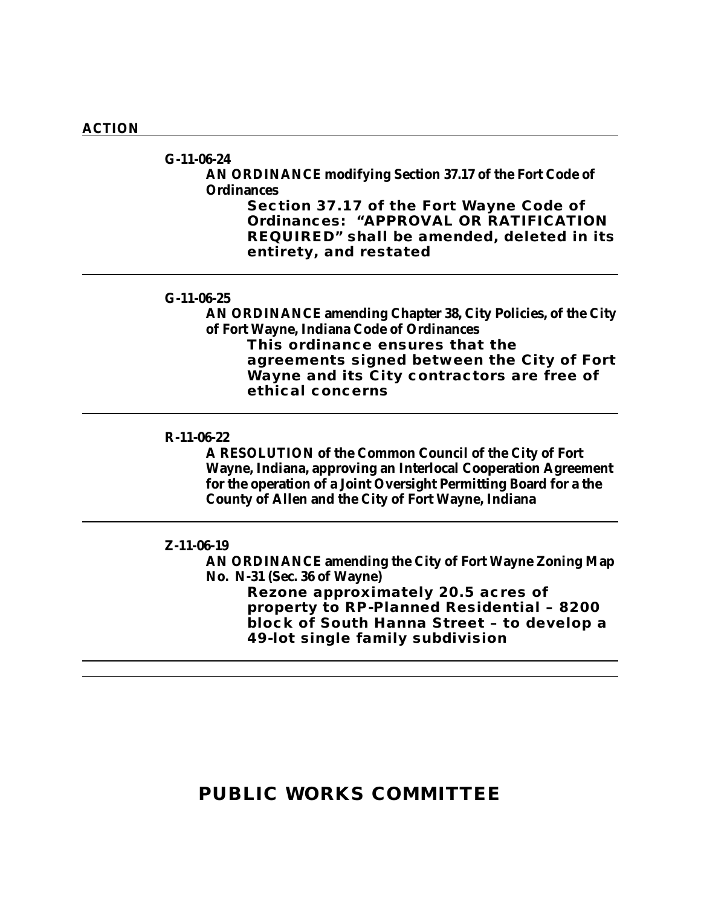#### **ACTION**

**G-11-06-24 AN ORDINANCE modifying Section 37.17 of the Fort Code of Ordinances** 

> **Section 37.17 of the Fort Wayne Code of Ordinances: "APPROVAL OR RATIFICATION REQUIRED" shall be amended, deleted in its entirety, and restated**

### **G-11-06-25**

**AN ORDINANCE amending Chapter 38, City Policies, of the City of Fort Wayne, Indiana Code of Ordinances This ordinance ensures that the agreements signed between the City of Fort Wayne and its City contractors are free of ethical concerns**

#### **R-11-06-22**

**A RESOLUTION of the Common Council of the City of Fort Wayne, Indiana, approving an Interlocal Cooperation Agreement for the operation of a Joint Oversight Permitting Board for a the County of Allen and the City of Fort Wayne, Indiana**

#### **Z-11-06-19**

**AN ORDINANCE amending the City of Fort Wayne Zoning Map No. N-31 (Sec. 36 of Wayne) Rezone approximately 20.5 acres of property to RP-Planned Residential – 8200 block of South Hanna Street – to develop a 49-lot single family subdivision**

# **PUBLIC WORKS COMMITTEE**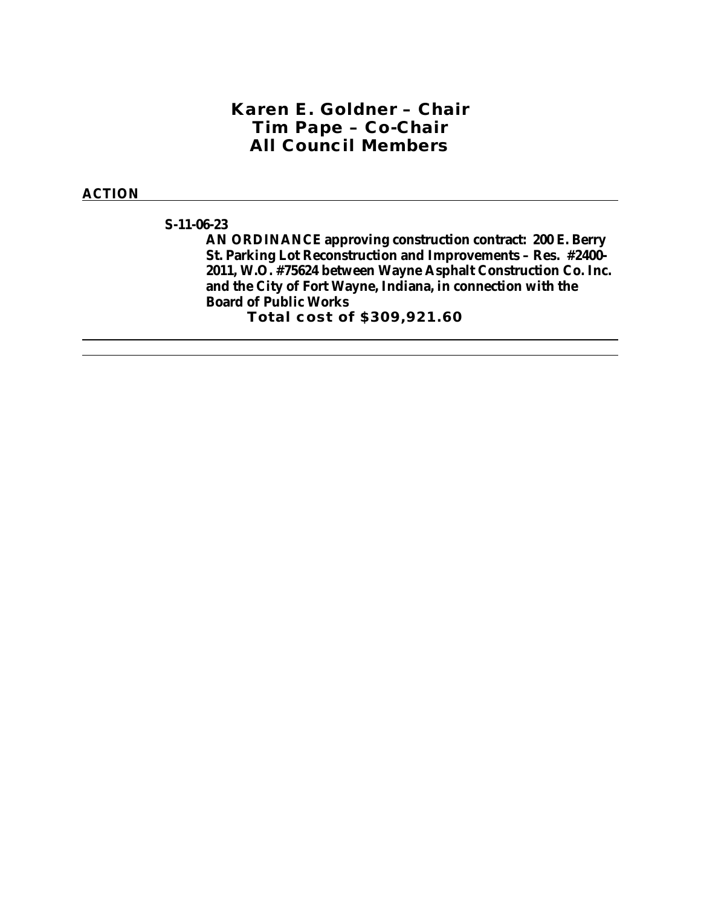### *Karen E. Goldner – Chair Tim Pape – Co-Chair All Council Members*

#### **ACTION**

**S-11-06-23**

**AN ORDINANCE approving construction contract: 200 E. Berry St. Parking Lot Reconstruction and Improvements – Res. #2400- 2011, W.O. #75624 between Wayne Asphalt Construction Co. Inc. and the City of Fort Wayne, Indiana, in connection with the Board of Public Works Total cost of \$309,921.60**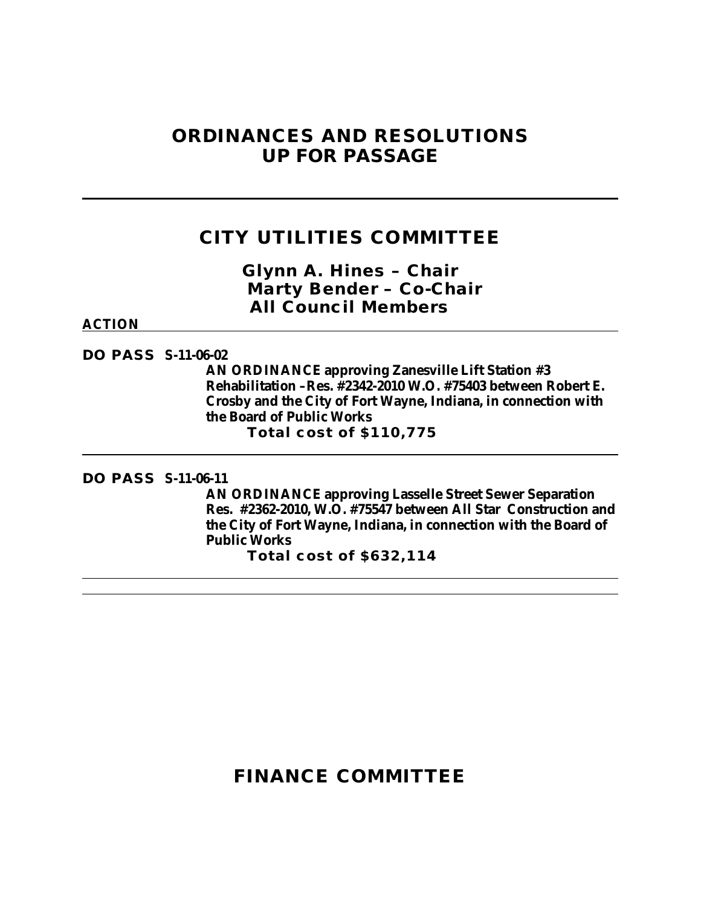# **ORDINANCES AND RESOLUTIONS UP FOR PASSAGE**

# **CITY UTILITIES COMMITTEE**

*Glynn A. Hines – Chair Marty Bender – Co-Chair All Council Members*

#### **ACTION**

**DO PASS S-11-06-02**

**AN ORDINANCE approving Zanesville Lift Station #3 Rehabilitation –Res. #2342-2010 W.O. #75403 between Robert E. Crosby and the City of Fort Wayne, Indiana, in connection with the Board of Public Works Total cost of \$110,775**

**DO PASS S-11-06-11**

**AN ORDINANCE approving Lasselle Street Sewer Separation Res. #2362-2010, W.O. #75547 between All Star Construction and the City of Fort Wayne, Indiana, in connection with the Board of Public Works**

**Total cost of \$632,114**

# **FINANCE COMMITTEE**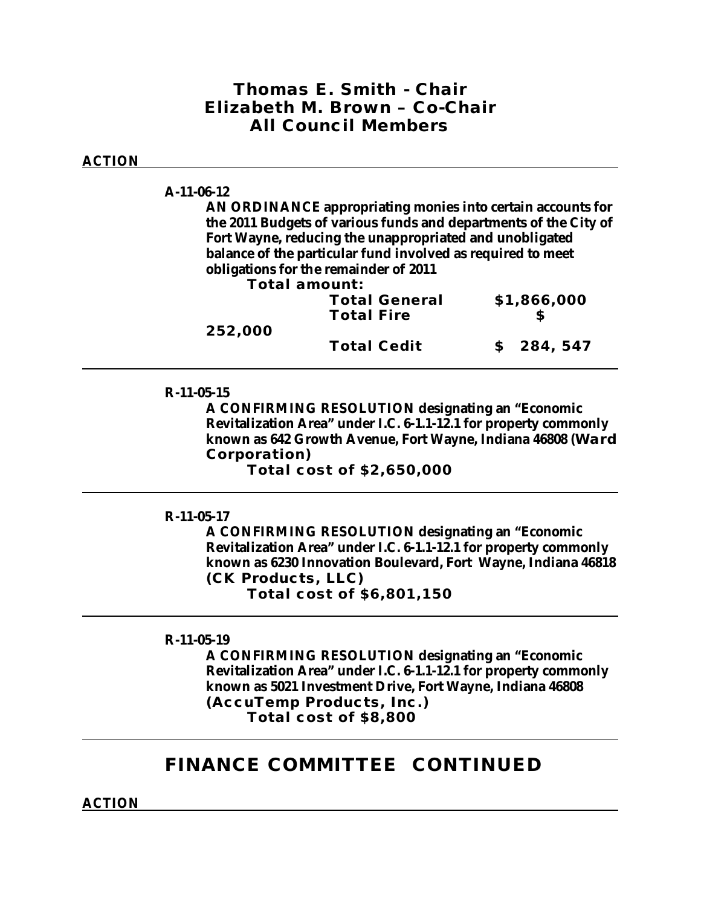## *Thomas E. Smith - Chair Elizabeth M. Brown – Co-Chair All Council Members*

### **ACTION**

#### **A-11-06-12**

**AN ORDINANCE appropriating monies into certain accounts for the 2011 Budgets of various funds and departments of the City of Fort Wayne, reducing the unappropriated and unobligated balance of the particular fund involved as required to meet obligations for the remainder of 2011**

**Total amount:**

|         | <b>Total General</b><br><b>Total Fire</b> | \$1,866,000 |
|---------|-------------------------------------------|-------------|
| 252,000 | <b>Total Cedit</b>                        | \$284,547   |
|         |                                           |             |

### **R-11-05-15**

**A CONFIRMING RESOLUTION designating an "Economic Revitalization Area" under I.C. 6-1.1-12.1 for property commonly known as 642 Growth Avenue, Fort Wayne, Indiana 46808 (Ward Corporation)**

**Total cost of \$2,650,000**

### **R-11-05-17**

**A CONFIRMING RESOLUTION designating an "Economic Revitalization Area" under I.C. 6-1.1-12.1 for property commonly known as 6230 Innovation Boulevard, Fort Wayne, Indiana 46818 (CK Products, LLC) Total cost of \$6,801,150**

#### **R-11-05-19**

**A CONFIRMING RESOLUTION designating an "Economic Revitalization Area" under I.C. 6-1.1-12.1 for property commonly known as 5021 Investment Drive, Fort Wayne, Indiana 46808 (AccuTemp Products, Inc.) Total cost of \$8,800**

## **FINANCE COMMITTEE CONTINUED**

**ACTION**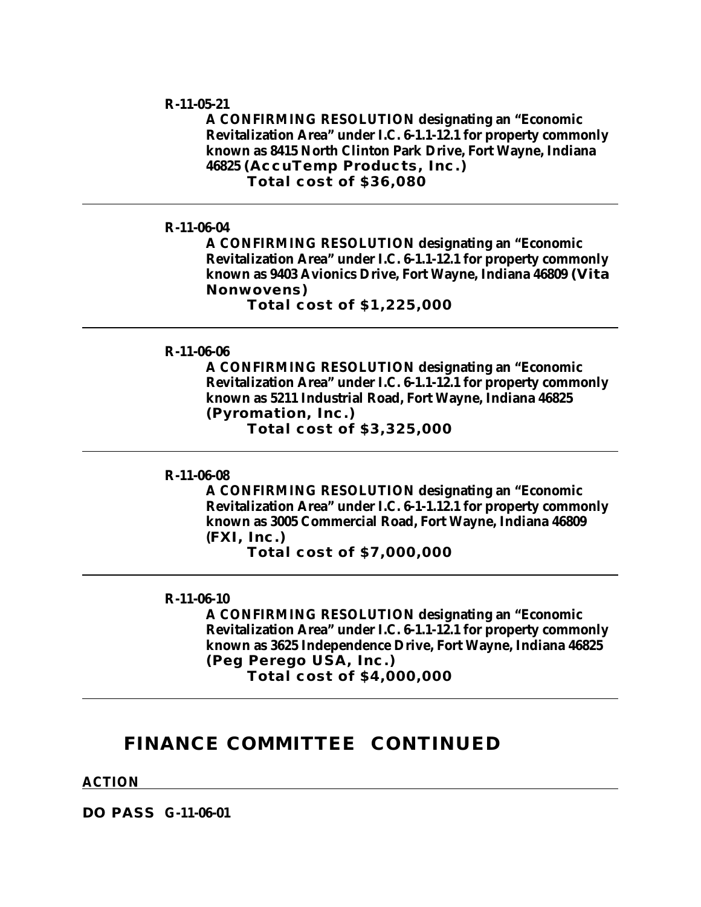#### **R-11-05-21**

**A CONFIRMING RESOLUTION designating an "Economic Revitalization Area" under I.C. 6-1.1-12.1 for property commonly known as 8415 North Clinton Park Drive, Fort Wayne, Indiana 46825 (AccuTemp Products, Inc.) Total cost of \$36,080**

### **R-11-06-04**

**A CONFIRMING RESOLUTION designating an "Economic Revitalization Area" under I.C. 6-1.1-12.1 for property commonly known as 9403 Avionics Drive, Fort Wayne, Indiana 46809 (Vita Nonwovens)**

**Total cost of \$1,225,000**

#### **R-11-06-06**

**A CONFIRMING RESOLUTION designating an "Economic Revitalization Area" under I.C. 6-1.1-12.1 for property commonly known as 5211 Industrial Road, Fort Wayne, Indiana 46825 (Pyromation, Inc.)**

**Total cost of \$3,325,000**

#### **R-11-06-08**

**A CONFIRMING RESOLUTION designating an "Economic Revitalization Area" under I.C. 6-1-1.12.1 for property commonly known as 3005 Commercial Road, Fort Wayne, Indiana 46809 (FXI, Inc.)**

**Total cost of \$7,000,000**

#### **R-11-06-10**

**A CONFIRMING RESOLUTION designating an "Economic Revitalization Area" under I.C. 6-1.1-12.1 for property commonly known as 3625 Independence Drive, Fort Wayne, Indiana 46825 (Peg Perego USA, Inc.) Total cost of \$4,000,000**

### **FINANCE COMMITTEE CONTINUED**

**ACTION**

**DO PASS G-11-06-01**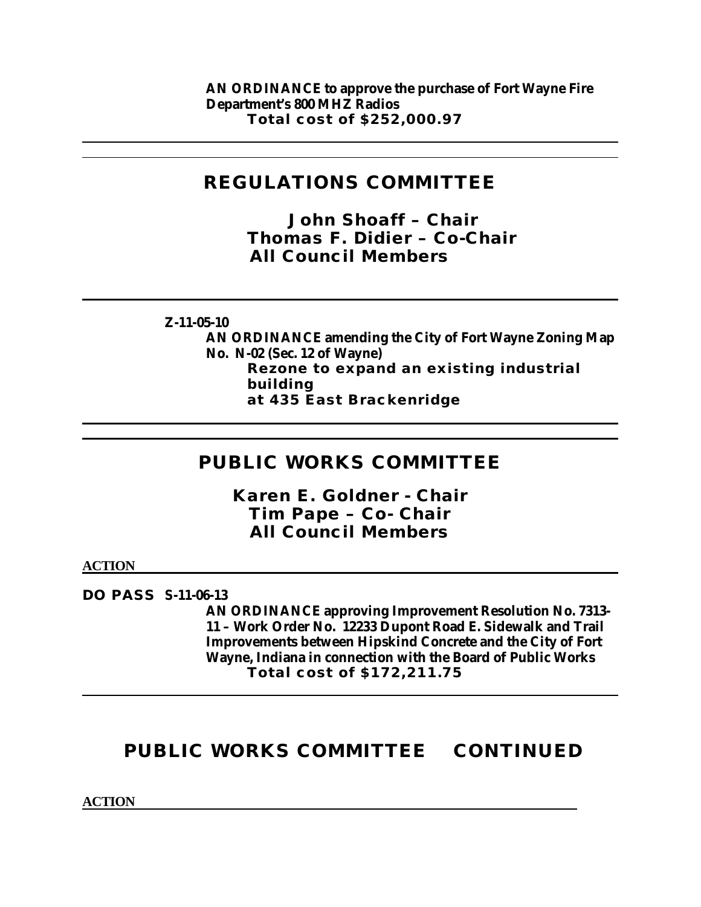**AN ORDINANCE to approve the purchase of Fort Wayne Fire Department's 800 MHZ Radios Total cost of \$252,000.97**

# **REGULATIONS COMMITTEE**

*John Shoaff – Chair Thomas F. Didier – Co-Chair All Council Members*

**Z-11-05-10**

**AN ORDINANCE amending the City of Fort Wayne Zoning Map No. N-02 (Sec. 12 of Wayne) Rezone to expand an existing industrial building at 435 East Brackenridge**

# **PUBLIC WORKS COMMITTEE**

*Karen E. Goldner - Chair Tim Pape – Co- Chair All Council Members*

**ACTION**

**DO PASS S-11-06-13**

**AN ORDINANCE approving Improvement Resolution No. 7313- 11 – Work Order No. 12233 Dupont Road E. Sidewalk and Trail Improvements between Hipskind Concrete and the City of Fort Wayne, Indiana in connection with the Board of Public Works Total cost of \$172,211.75**

# **PUBLIC WORKS COMMITTEE CONTINUED**

**ACTION**